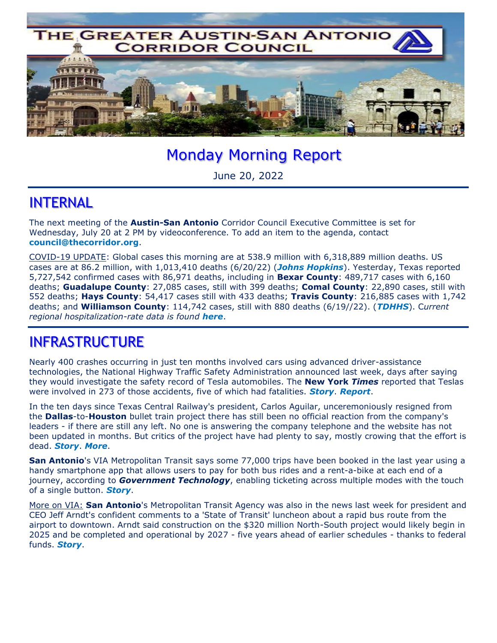

# Monday Morning Report

June 20, 2022

#### INTERNAL

The next meeting of the **Austin-San Antonio** Corridor Council Executive Committee is set for Wednesday, July 20 at 2 PM by videoconference. To add an item to the agenda, contact **council@thecorridor.org**.

COVID-19 UPDATE: Global cases this morning are at 538.9 million with 6,318,889 million deaths. US cases are at 86.2 million, with 1,013,410 deaths (6/20/22) (*Johns Hopkins*). Yesterday, Texas reported 5,727,542 confirmed cases with 86,971 deaths, including in **Bexar County**: 489,717 cases with 6,160 deaths; **Guadalupe County**: 27,085 cases, still with 399 deaths; **Comal County**: 22,890 cases, still with 552 deaths; **Hays County**: 54,417 cases still with 433 deaths; **Travis County**: 216,885 cases with 1,742 deaths; and **Williamson County**: 114,742 cases, still with 880 deaths (6/19//22). (*TDHHS*). C*urrent regional hospitalization-rate data is found here*.

### INFRASTRUCTURE

Nearly 400 crashes occurring in just ten months involved cars using advanced driver-assistance technologies, the National Highway Traffic Safety Administration announced last week, days after saying they would investigate the safety record of Tesla automobiles. The **New York** *Times* reported that Teslas were involved in 273 of those accidents, five of which had fatalities. *Story*. *Report*.

In the ten days since Texas Central Railway's president, Carlos Aguilar, unceremoniously resigned from the **Dallas**-to-**Houston** bullet train project there has still been no official reaction from the company's leaders - if there are still any left. No one is answering the company telephone and the website has not been updated in months. But critics of the project have had plenty to say, mostly crowing that the effort is dead. *Story*. *More*.

**San Antonio**'s VIA Metropolitan Transit says some 77,000 trips have been booked in the last year using a handy smartphone app that allows users to pay for both bus rides and a rent-a-bike at each end of a journey, according to *Government Technology*, enabling ticketing across multiple modes with the touch of a single button. *Story*.

More on VIA: **San Antonio**'s Metropolitan Transit Agency was also in the news last week for president and CEO Jeff Arndt's confident comments to a 'State of Transit' luncheon about a rapid bus route from the airport to downtown. Arndt said construction on the \$320 million North-South project would likely begin in 2025 and be completed and operational by 2027 - five years ahead of earlier schedules - thanks to federal funds. *Story*.